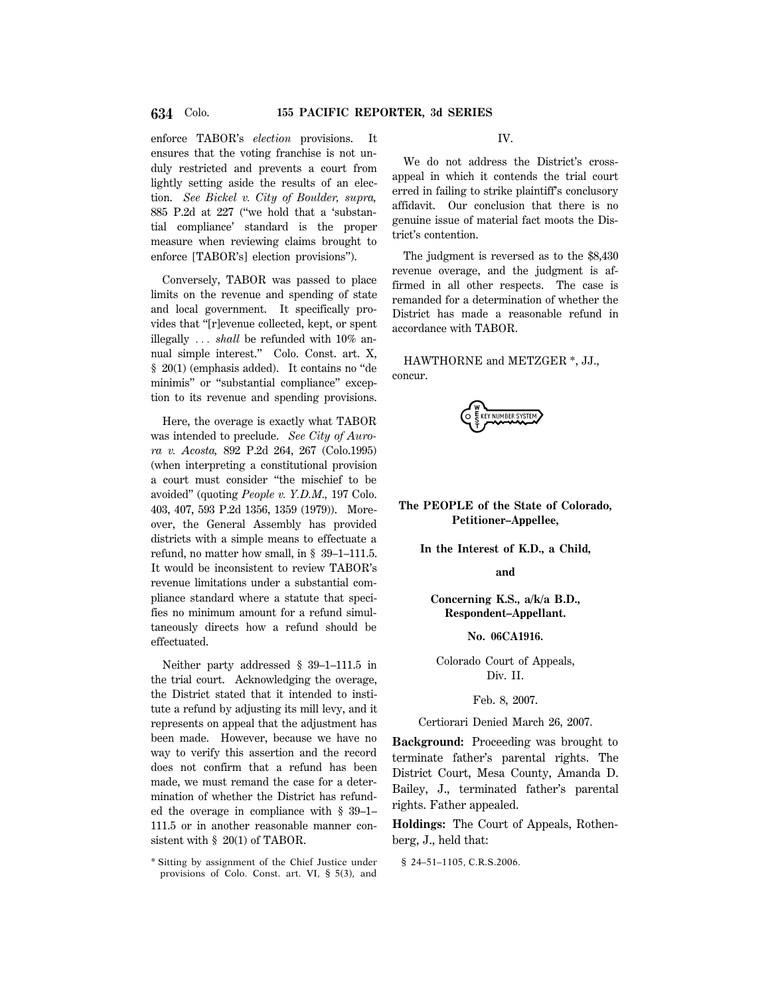enforce TABOR's *election* provisions. It ensures that the voting franchise is not unduly restricted and prevents a court from lightly setting aside the results of an election. *See Bickel v. City of Boulder, supra,* 885 P.2d at 227 (''we hold that a 'substantial compliance' standard is the proper measure when reviewing claims brought to enforce [TABOR's] election provisions'').

Conversely, TABOR was passed to place limits on the revenue and spending of state and local government. It specifically provides that ''[r]evenue collected, kept, or spent illegally ... *shall* be refunded with 10% annual simple interest.'' Colo. Const. art. X, § 20(1) (emphasis added). It contains no ''de minimis'' or ''substantial compliance'' exception to its revenue and spending provisions.

Here, the overage is exactly what TABOR was intended to preclude. *See City of Aurora v. Acosta,* 892 P.2d 264, 267 (Colo.1995) (when interpreting a constitutional provision a court must consider ''the mischief to be avoided'' (quoting *People v. Y.D.M.,* 197 Colo. 403, 407, 593 P.2d 1356, 1359 (1979)). Moreover, the General Assembly has provided districts with a simple means to effectuate a refund, no matter how small, in § 39–1–111.5. It would be inconsistent to review TABOR's revenue limitations under a substantial compliance standard where a statute that specifies no minimum amount for a refund simultaneously directs how a refund should be effectuated.

Neither party addressed § 39–1–111.5 in the trial court. Acknowledging the overage, the District stated that it intended to institute a refund by adjusting its mill levy, and it represents on appeal that the adjustment has been made. However, because we have no way to verify this assertion and the record does not confirm that a refund has been made, we must remand the case for a determination of whether the District has refunded the overage in compliance with § 39–1– 111.5 or in another reasonable manner consistent with § 20(1) of TABOR.

IV.

We do not address the District's crossappeal in which it contends the trial court erred in failing to strike plaintiff's conclusory affidavit. Our conclusion that there is no genuine issue of material fact moots the District's contention.

The judgment is reversed as to the \$8,430 revenue overage, and the judgment is affirmed in all other respects. The case is remanded for a determination of whether the District has made a reasonable refund in accordance with TABOR.

HAWTHORNE and METZGER \*, JJ., concur.



# **The PEOPLE of the State of Colorado, Petitioner–Appellee,**

**In the Interest of K.D., a Child,**

**and**

# **Concerning K.S., a/k/a B.D., Respondent–Appellant.**

**No. 06CA1916.**

Colorado Court of Appeals, Div. II.

#### Feb. 8, 2007.

Certiorari Denied March 26, 2007.

**Background:** Proceeding was brought to terminate father's parental rights. The District Court, Mesa County, Amanda D. Bailey, J., terminated father's parental rights. Father appealed.

**Holdings:** The Court of Appeals, Rothenberg, J., held that:

§ 24-51-1105, C.R.S.2006.

<sup>\*</sup> Sitting by assignment of the Chief Justice under provisions of Colo. Const. art. VI, § 5(3), and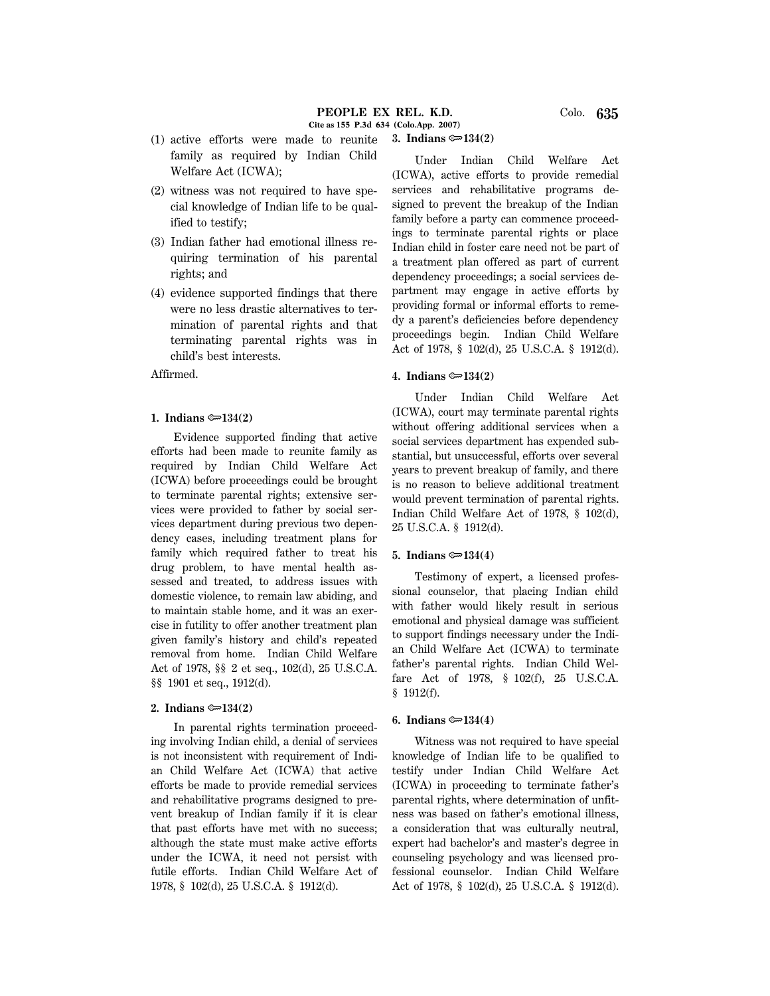- (2) witness was not required to have special knowledge of Indian life to be qualified to testify;
- (3) Indian father had emotional illness requiring termination of his parental rights; and
- (4) evidence supported findings that there were no less drastic alternatives to termination of parental rights and that terminating parental rights was in child's best interests.

Affirmed.

#### 1. Indians  $\mathfrak{S}$  134(2)

Evidence supported finding that active efforts had been made to reunite family as required by Indian Child Welfare Act (ICWA) before proceedings could be brought to terminate parental rights; extensive services were provided to father by social services department during previous two dependency cases, including treatment plans for family which required father to treat his drug problem, to have mental health assessed and treated, to address issues with domestic violence, to remain law abiding, and to maintain stable home, and it was an exercise in futility to offer another treatment plan given family's history and child's repeated removal from home. Indian Child Welfare Act of 1978, §§ 2 et seq., 102(d), 25 U.S.C.A. §§ 1901 et seq., 1912(d).

#### 2. Indians  $\mathfrak{S}$  134(2)

In parental rights termination proceeding involving Indian child, a denial of services is not inconsistent with requirement of Indian Child Welfare Act (ICWA) that active efforts be made to provide remedial services and rehabilitative programs designed to prevent breakup of Indian family if it is clear that past efforts have met with no success; although the state must make active efforts under the ICWA, it need not persist with futile efforts. Indian Child Welfare Act of 1978, § 102(d), 25 U.S.C.A. § 1912(d).

Under Indian Child Welfare Act (ICWA), active efforts to provide remedial services and rehabilitative programs designed to prevent the breakup of the Indian family before a party can commence proceedings to terminate parental rights or place Indian child in foster care need not be part of a treatment plan offered as part of current dependency proceedings; a social services department may engage in active efforts by providing formal or informal efforts to remedy a parent's deficiencies before dependency proceedings begin. Indian Child Welfare Act of 1978, § 102(d), 25 U.S.C.A. § 1912(d).

#### **4. Indians**  $\approx 134(2)$

**3. Indians**  $\approx 134(2)$ 

Under Indian Child Welfare Act (ICWA), court may terminate parental rights without offering additional services when a social services department has expended substantial, but unsuccessful, efforts over several years to prevent breakup of family, and there is no reason to believe additional treatment would prevent termination of parental rights. Indian Child Welfare Act of 1978, § 102(d), 25 U.S.C.A. § 1912(d).

#### **5. Indians**  $\approx 134(4)$

Testimony of expert, a licensed professional counselor, that placing Indian child with father would likely result in serious emotional and physical damage was sufficient to support findings necessary under the Indian Child Welfare Act (ICWA) to terminate father's parental rights. Indian Child Welfare Act of 1978, § 102(f), 25 U.S.C.A. § 1912(f).

#### **6.** Indians  $\approx 134(4)$

Witness was not required to have special knowledge of Indian life to be qualified to testify under Indian Child Welfare Act (ICWA) in proceeding to terminate father's parental rights, where determination of unfitness was based on father's emotional illness, a consideration that was culturally neutral, expert had bachelor's and master's degree in counseling psychology and was licensed professional counselor. Indian Child Welfare Act of 1978, § 102(d), 25 U.S.C.A. § 1912(d).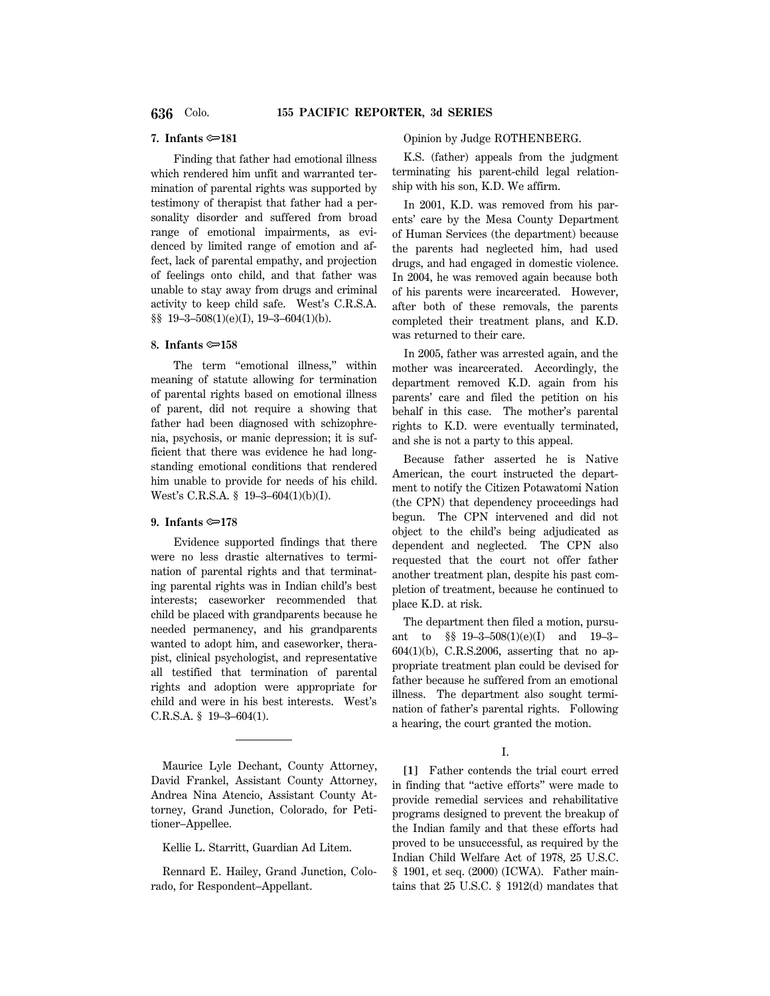# **7. Infants** O**181**

Finding that father had emotional illness which rendered him unfit and warranted termination of parental rights was supported by testimony of therapist that father had a personality disorder and suffered from broad range of emotional impairments, as evidenced by limited range of emotion and affect, lack of parental empathy, and projection of feelings onto child, and that father was unable to stay away from drugs and criminal activity to keep child safe. West's C.R.S.A. §§ 19–3–508(1)(e)(I), 19–3–604(1)(b).

## 8. Infants  $\approx 158$

The term "emotional illness," within meaning of statute allowing for termination of parental rights based on emotional illness of parent, did not require a showing that father had been diagnosed with schizophrenia, psychosis, or manic depression; it is sufficient that there was evidence he had longstanding emotional conditions that rendered him unable to provide for needs of his child. West's C.R.S.A. § 19–3–604(1)(b)(I).

# **9.** Infants  $\approx 178$

Evidence supported findings that there were no less drastic alternatives to termination of parental rights and that terminating parental rights was in Indian child's best interests; caseworker recommended that child be placed with grandparents because he needed permanency, and his grandparents wanted to adopt him, and caseworker, therapist, clinical psychologist, and representative all testified that termination of parental rights and adoption were appropriate for child and were in his best interests. West's C.R.S.A. § 19–3–604(1).

Maurice Lyle Dechant, County Attorney, David Frankel, Assistant County Attorney, Andrea Nina Atencio, Assistant County Attorney, Grand Junction, Colorado, for Petitioner–Appellee.

Kellie L. Starritt, Guardian Ad Litem.

Rennard E. Hailey, Grand Junction, Colorado, for Respondent–Appellant.

#### Opinion by Judge ROTHENBERG.

K.S. (father) appeals from the judgment terminating his parent-child legal relationship with his son, K.D. We affirm.

In 2001, K.D. was removed from his parents' care by the Mesa County Department of Human Services (the department) because the parents had neglected him, had used drugs, and had engaged in domestic violence. In 2004, he was removed again because both of his parents were incarcerated. However, after both of these removals, the parents completed their treatment plans, and K.D. was returned to their care.

In 2005, father was arrested again, and the mother was incarcerated. Accordingly, the department removed K.D. again from his parents' care and filed the petition on his behalf in this case. The mother's parental rights to K.D. were eventually terminated, and she is not a party to this appeal.

Because father asserted he is Native American, the court instructed the department to notify the Citizen Potawatomi Nation (the CPN) that dependency proceedings had begun. The CPN intervened and did not object to the child's being adjudicated as dependent and neglected. The CPN also requested that the court not offer father another treatment plan, despite his past completion of treatment, because he continued to place K.D. at risk.

The department then filed a motion, pursuant to §§ 19–3–508(1)(e)(I) and 19–3– 604(1)(b), C.R.S.2006, asserting that no appropriate treatment plan could be devised for father because he suffered from an emotional illness. The department also sought termination of father's parental rights. Following a hearing, the court granted the motion.

# I.

**[1]** Father contends the trial court erred in finding that ''active efforts'' were made to provide remedial services and rehabilitative programs designed to prevent the breakup of the Indian family and that these efforts had proved to be unsuccessful, as required by the Indian Child Welfare Act of 1978, 25 U.S.C. § 1901, et seq. (2000) (ICWA). Father maintains that 25 U.S.C. § 1912(d) mandates that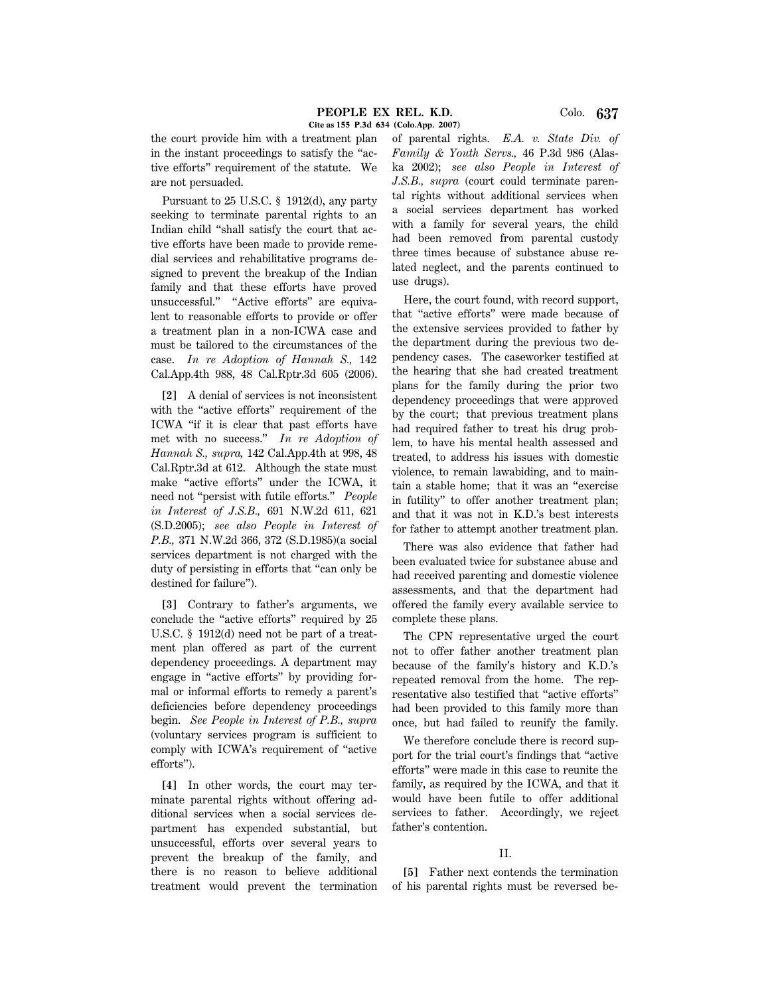the court provide him with a treatment plan in the instant proceedings to satisfy the ''active efforts'' requirement of the statute. We are not persuaded.

Pursuant to 25 U.S.C. § 1912(d), any party seeking to terminate parental rights to an Indian child ''shall satisfy the court that active efforts have been made to provide remedial services and rehabilitative programs designed to prevent the breakup of the Indian family and that these efforts have proved unsuccessful.'' ''Active efforts'' are equivalent to reasonable efforts to provide or offer a treatment plan in a non-ICWA case and must be tailored to the circumstances of the case. *In re Adoption of Hannah S.,* 142 Cal.App.4th 988, 48 Cal.Rptr.3d 605 (2006).

**[2]** A denial of services is not inconsistent with the "active efforts" requirement of the ICWA ''if it is clear that past efforts have met with no success.'' *In re Adoption of Hannah S., supra,* 142 Cal.App.4th at 998, 48 Cal.Rptr.3d at 612. Although the state must make ''active efforts'' under the ICWA, it need not ''persist with futile efforts.'' *People in Interest of J.S.B.,* 691 N.W.2d 611, 621 (S.D.2005); *see also People in Interest of P.B.,* 371 N.W.2d 366, 372 (S.D.1985)(a social services department is not charged with the duty of persisting in efforts that ''can only be destined for failure'').

**[3]** Contrary to father's arguments, we conclude the ''active efforts'' required by 25 U.S.C. § 1912(d) need not be part of a treatment plan offered as part of the current dependency proceedings. A department may engage in ''active efforts'' by providing formal or informal efforts to remedy a parent's deficiencies before dependency proceedings begin. *See People in Interest of P.B., supra* (voluntary services program is sufficient to comply with ICWA's requirement of ''active efforts'').

**[4]** In other words, the court may terminate parental rights without offering additional services when a social services department has expended substantial, but unsuccessful, efforts over several years to prevent the breakup of the family, and there is no reason to believe additional treatment would prevent the termination of parental rights. *E.A. v. State Div. of Family & Youth Servs.,* 46 P.3d 986 (Alaska 2002); *see also People in Interest of J.S.B., supra* (court could terminate parental rights without additional services when a social services department has worked with a family for several years, the child had been removed from parental custody three times because of substance abuse related neglect, and the parents continued to use drugs).

Here, the court found, with record support, that ''active efforts'' were made because of the extensive services provided to father by the department during the previous two dependency cases. The caseworker testified at the hearing that she had created treatment plans for the family during the prior two dependency proceedings that were approved by the court; that previous treatment plans had required father to treat his drug problem, to have his mental health assessed and treated, to address his issues with domestic violence, to remain lawabiding, and to maintain a stable home; that it was an ''exercise in futility'' to offer another treatment plan; and that it was not in K.D.'s best interests for father to attempt another treatment plan.

There was also evidence that father had been evaluated twice for substance abuse and had received parenting and domestic violence assessments, and that the department had offered the family every available service to complete these plans.

The CPN representative urged the court not to offer father another treatment plan because of the family's history and K.D.'s repeated removal from the home. The representative also testified that ''active efforts'' had been provided to this family more than once, but had failed to reunify the family.

We therefore conclude there is record support for the trial court's findings that ''active efforts'' were made in this case to reunite the family, as required by the ICWA, and that it would have been futile to offer additional services to father. Accordingly, we reject father's contention.

### II.

**[5]** Father next contends the termination of his parental rights must be reversed be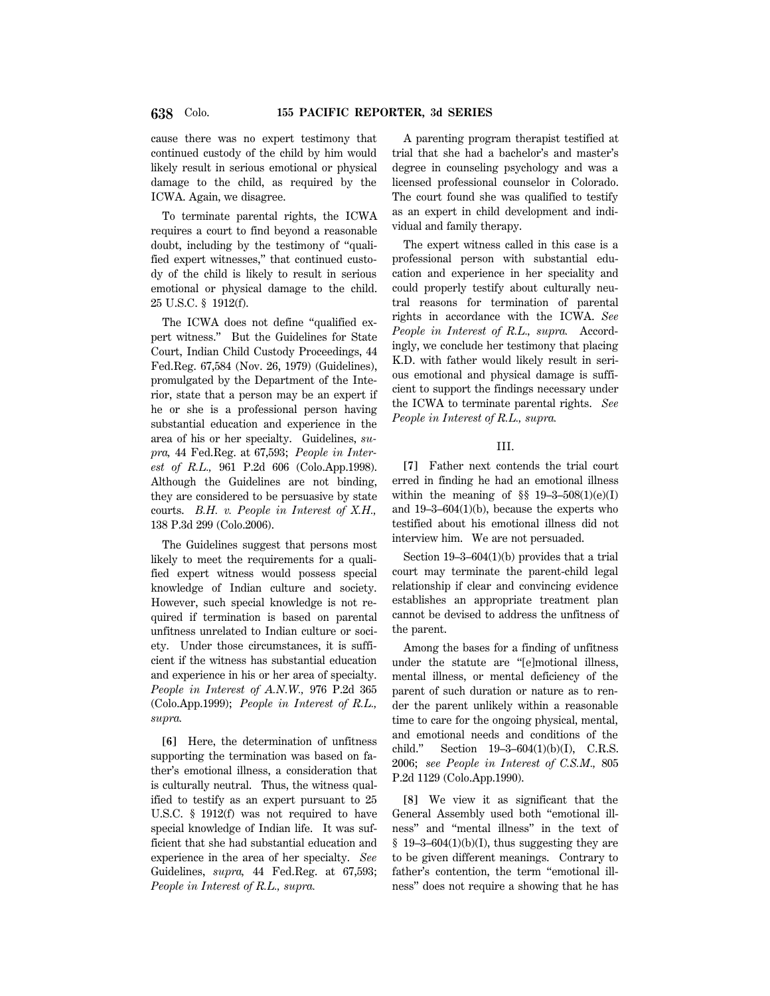cause there was no expert testimony that continued custody of the child by him would likely result in serious emotional or physical damage to the child, as required by the ICWA. Again, we disagree.

To terminate parental rights, the ICWA requires a court to find beyond a reasonable doubt, including by the testimony of ''qualified expert witnesses,'' that continued custody of the child is likely to result in serious emotional or physical damage to the child. 25 U.S.C. § 1912(f).

The ICWA does not define ''qualified expert witness.'' But the Guidelines for State Court, Indian Child Custody Proceedings, 44 Fed.Reg. 67,584 (Nov. 26, 1979) (Guidelines), promulgated by the Department of the Interior, state that a person may be an expert if he or she is a professional person having substantial education and experience in the area of his or her specialty. Guidelines, *supra,* 44 Fed.Reg. at 67,593; *People in Interest of R.L.,* 961 P.2d 606 (Colo.App.1998). Although the Guidelines are not binding, they are considered to be persuasive by state courts. *B.H. v. People in Interest of X.H.,* 138 P.3d 299 (Colo.2006).

The Guidelines suggest that persons most likely to meet the requirements for a qualified expert witness would possess special knowledge of Indian culture and society. However, such special knowledge is not required if termination is based on parental unfitness unrelated to Indian culture or society. Under those circumstances, it is sufficient if the witness has substantial education and experience in his or her area of specialty. *People in Interest of A.N.W.,* 976 P.2d 365 (Colo.App.1999); *People in Interest of R.L., supra.*

**[6]** Here, the determination of unfitness supporting the termination was based on father's emotional illness, a consideration that is culturally neutral. Thus, the witness qualified to testify as an expert pursuant to 25 U.S.C. § 1912(f) was not required to have special knowledge of Indian life. It was sufficient that she had substantial education and experience in the area of her specialty. *See* Guidelines, *supra,* 44 Fed.Reg. at 67,593; *People in Interest of R.L., supra.*

A parenting program therapist testified at trial that she had a bachelor's and master's degree in counseling psychology and was a licensed professional counselor in Colorado. The court found she was qualified to testify as an expert in child development and individual and family therapy.

The expert witness called in this case is a professional person with substantial education and experience in her speciality and could properly testify about culturally neutral reasons for termination of parental rights in accordance with the ICWA. *See People in Interest of R.L., supra.* Accordingly, we conclude her testimony that placing K.D. with father would likely result in serious emotional and physical damage is sufficient to support the findings necessary under the ICWA to terminate parental rights. *See People in Interest of R.L., supra.*

#### III.

**[7]** Father next contends the trial court erred in finding he had an emotional illness within the meaning of  $\S$  19-3-508(1)(e)(I) and 19–3–604(1)(b), because the experts who testified about his emotional illness did not interview him. We are not persuaded.

Section 19–3–604(1)(b) provides that a trial court may terminate the parent-child legal relationship if clear and convincing evidence establishes an appropriate treatment plan cannot be devised to address the unfitness of the parent.

Among the bases for a finding of unfitness under the statute are ''[e]motional illness, mental illness, or mental deficiency of the parent of such duration or nature as to render the parent unlikely within a reasonable time to care for the ongoing physical, mental, and emotional needs and conditions of the child.'' Section 19–3–604(1)(b)(I), C.R.S. 2006; *see People in Interest of C.S.M.,* 805 P.2d 1129 (Colo.App.1990).

**[8]** We view it as significant that the General Assembly used both ''emotional illness'' and ''mental illness'' in the text of  $§$  19-3-604(1)(b)(I), thus suggesting they are to be given different meanings. Contrary to father's contention, the term "emotional illness'' does not require a showing that he has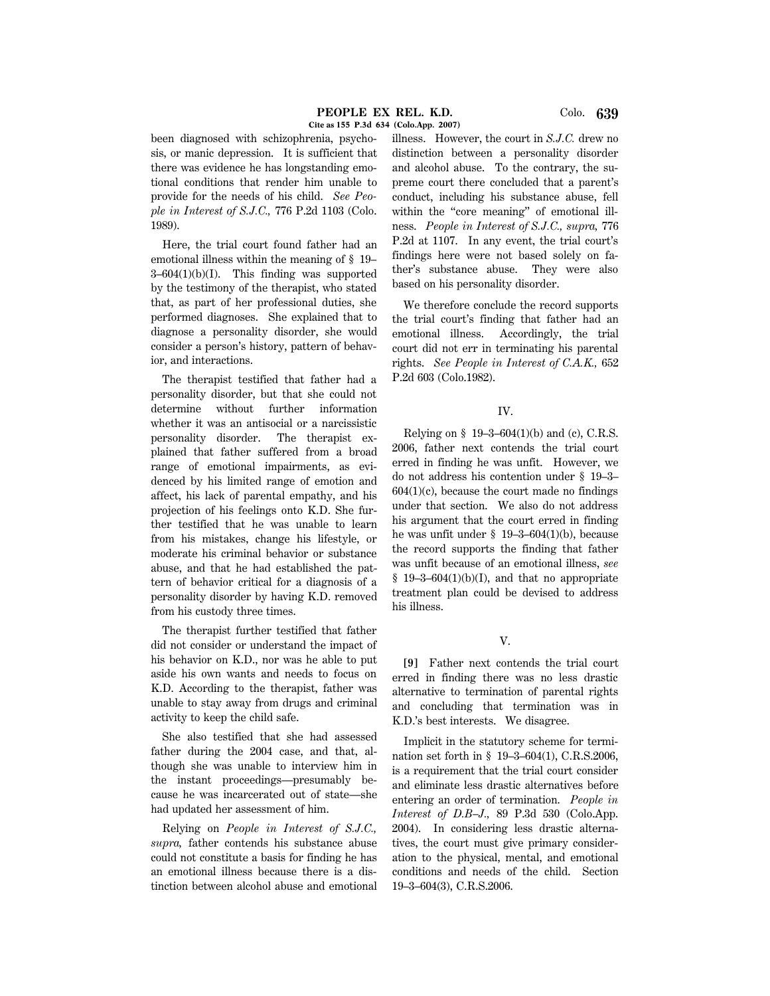been diagnosed with schizophrenia, psychosis, or manic depression. It is sufficient that there was evidence he has longstanding emotional conditions that render him unable to provide for the needs of his child. *See People in Interest of S.J.C.,* 776 P.2d 1103 (Colo. 1989).

Here, the trial court found father had an emotional illness within the meaning of § 19–  $3-604(1)(b)(I)$ . This finding was supported by the testimony of the therapist, who stated that, as part of her professional duties, she performed diagnoses. She explained that to diagnose a personality disorder, she would consider a person's history, pattern of behavior, and interactions.

The therapist testified that father had a personality disorder, but that she could not determine without further information whether it was an antisocial or a narcissistic personality disorder. The therapist explained that father suffered from a broad range of emotional impairments, as evidenced by his limited range of emotion and affect, his lack of parental empathy, and his projection of his feelings onto K.D. She further testified that he was unable to learn from his mistakes, change his lifestyle, or moderate his criminal behavior or substance abuse, and that he had established the pattern of behavior critical for a diagnosis of a personality disorder by having K.D. removed from his custody three times.

The therapist further testified that father did not consider or understand the impact of his behavior on K.D., nor was he able to put aside his own wants and needs to focus on K.D. According to the therapist, father was unable to stay away from drugs and criminal activity to keep the child safe.

She also testified that she had assessed father during the 2004 case, and that, although she was unable to interview him in the instant proceedings—presumably because he was incarcerated out of state—she had updated her assessment of him.

Relying on *People in Interest of S.J.C., supra,* father contends his substance abuse could not constitute a basis for finding he has an emotional illness because there is a distinction between alcohol abuse and emotional illness. However, the court in *S.J.C.* drew no distinction between a personality disorder and alcohol abuse. To the contrary, the supreme court there concluded that a parent's conduct, including his substance abuse, fell within the "core meaning" of emotional illness. *People in Interest of S.J.C., supra,* 776 P.2d at 1107. In any event, the trial court's findings here were not based solely on father's substance abuse. They were also based on his personality disorder.

We therefore conclude the record supports the trial court's finding that father had an emotional illness. Accordingly, the trial court did not err in terminating his parental rights. *See People in Interest of C.A.K.,* 652 P.2d 603 (Colo.1982).

#### IV.

Relying on  $$19-3-604(1)(b)$  and (c), C.R.S. 2006, father next contends the trial court erred in finding he was unfit. However, we do not address his contention under § 19–3–  $604(1)(c)$ , because the court made no findings under that section. We also do not address his argument that the court erred in finding he was unfit under § 19–3–604(1)(b), because the record supports the finding that father was unfit because of an emotional illness, *see*  $§$  19–3–604(1)(b)(I), and that no appropriate treatment plan could be devised to address his illness.

# V.

**[9]** Father next contends the trial court erred in finding there was no less drastic alternative to termination of parental rights and concluding that termination was in K.D.'s best interests. We disagree.

Implicit in the statutory scheme for termination set forth in § 19–3–604(1), C.R.S.2006, is a requirement that the trial court consider and eliminate less drastic alternatives before entering an order of termination. *People in Interest of D.B–J.,* 89 P.3d 530 (Colo.App. 2004). In considering less drastic alternatives, the court must give primary consideration to the physical, mental, and emotional conditions and needs of the child. Section 19–3–604(3), C.R.S.2006.